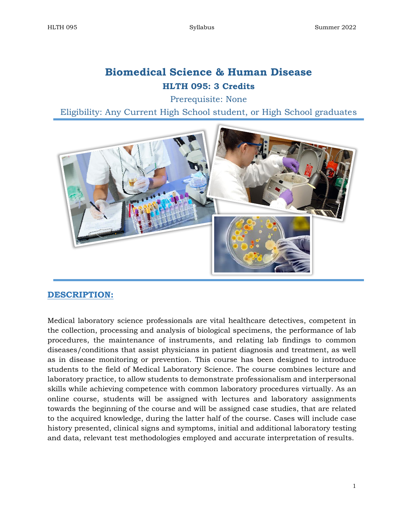# **Biomedical Science & Human Disease HLTH 095: 3 Credits**

Prerequisite: None

Eligibility: Any Current High School student, or High School graduates



# **DESCRIPTION:**

Medical laboratory science professionals are vital healthcare detectives, competent in the collection, processing and analysis of biological specimens, the performance of lab procedures, the maintenance of instruments, and relating lab findings to common diseases/conditions that assist physicians in patient diagnosis and treatment, as well as in disease monitoring or prevention. This course has been designed to introduce students to the field of Medical Laboratory Science. The course combines lecture and laboratory practice, to allow students to demonstrate professionalism and interpersonal skills while achieving competence with common laboratory procedures virtually. As an online course, students will be assigned with lectures and laboratory assignments towards the beginning of the course and will be assigned case studies, that are related to the acquired knowledge, during the latter half of the course. Cases will include case history presented, clinical signs and symptoms, initial and additional laboratory testing and data, relevant test methodologies employed and accurate interpretation of results.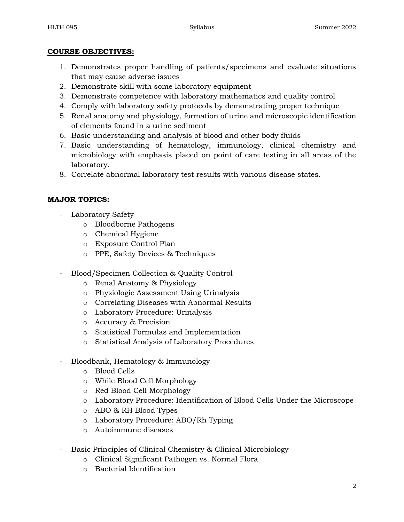#### **COURSE OBJECTIVES:**

- 1. Demonstrates proper handling of patients/specimens and evaluate situations that may cause adverse issues
- 2. Demonstrate skill with some laboratory equipment
- 3. Demonstrate competence with laboratory mathematics and quality control
- 4. Comply with laboratory safety protocols by demonstrating proper technique
- 5. Renal anatomy and physiology, formation of urine and microscopic identification of elements found in a urine sediment
- 6. Basic understanding and analysis of blood and other body fluids
- 7. Basic understanding of hematology, immunology, clinical chemistry and microbiology with emphasis placed on point of care testing in all areas of the laboratory.
- 8. Correlate abnormal laboratory test results with various disease states.

## **MAJOR TOPICS:**

- Laboratory Safety
	- o Bloodborne Pathogens
	- o Chemical Hygiene
	- o Exposure Control Plan
	- o PPE, Safety Devices & Techniques
- Blood/Specimen Collection & Quality Control
	- o Renal Anatomy & Physiology
	- o Physiologic Assessment Using Urinalysis
	- o Correlating Diseases with Abnormal Results
	- o Laboratory Procedure: Urinalysis
	- o Accuracy & Precision
	- o Statistical Formulas and Implementation
	- o Statistical Analysis of Laboratory Procedures
- Bloodbank, Hematology & Immunology
	- o Blood Cells
	- o While Blood Cell Morphology
	- o Red Blood Cell Morphology
	- o Laboratory Procedure: Identification of Blood Cells Under the Microscope
	- o ABO & RH Blood Types
	- o Laboratory Procedure: ABO/Rh Typing
	- o Autoimmune diseases
- Basic Principles of Clinical Chemistry & Clinical Microbiology
	- o Clinical Significant Pathogen vs. Normal Flora
	- o Bacterial Identification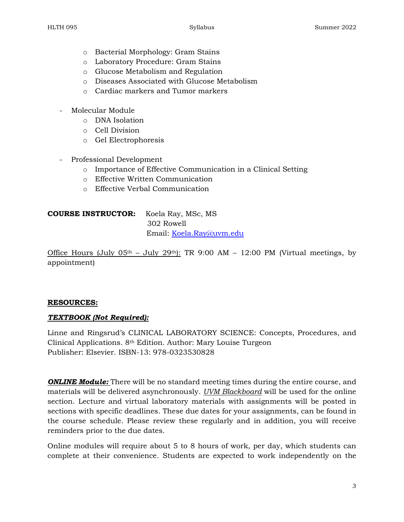- o Bacterial Morphology: Gram Stains
- o Laboratory Procedure: Gram Stains
- o Glucose Metabolism and Regulation
- o Diseases Associated with Glucose Metabolism
- o Cardiac markers and Tumor markers
- Molecular Module
	- o DNA Isolation
	- o Cell Division
	- o Gel Electrophoresis
- Professional Development
	- o Importance of Effective Communication in a Clinical Setting
	- o Effective Written Communication
	- o Effective Verbal Communication

# **COURSE INSTRUCTOR:** Koela Ray, MSc, MS 302 Rowell Email: [Koela.Ray@uvm.edu](mailto:Koela.Ray@uvm.edu)

Office Hours (July  $05<sup>th</sup>$  – July  $29<sup>th</sup>$ ): TR 9:00 AM – 12:00 PM (Virtual meetings, by appointment)

#### **RESOURCES:**

#### *TEXTBOOK (Not Required):*

Linne and Ringsrud's CLINICAL LABORATORY SCIENCE: Concepts, Procedures, and Clinical Applications. 8th Edition. Author: Mary Louise Turgeon Publisher: Elsevier. ISBN-13: 978-0323530828

*ONLINE Module:* There will be no standard meeting times during the entire course, and materials will be delivered asynchronously. *UVM Blackboard* will be used for the online section. Lecture and virtual laboratory materials with assignments will be posted in sections with specific deadlines. These due dates for your assignments, can be found in the course schedule. Please review these regularly and in addition, you will receive reminders prior to the due dates.

Online modules will require about 5 to 8 hours of work, per day, which students can complete at their convenience. Students are expected to work independently on the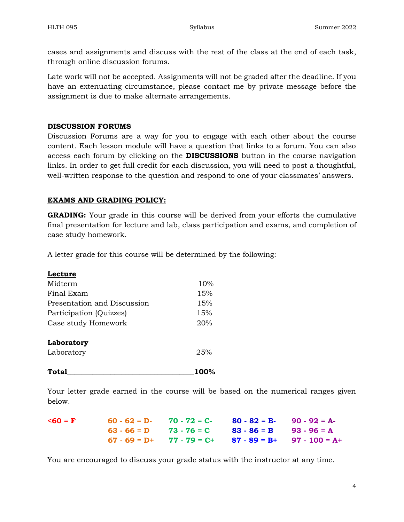cases and assignments and discuss with the rest of the class at the end of each task, through online discussion forums.

Late work will not be accepted. Assignments will not be graded after the deadline. If you have an extenuating circumstance, please contact me by private message before the assignment is due to make alternate arrangements.

#### **DISCUSSION FORUMS**

Discussion Forums are a way for you to engage with each other about the course content. Each lesson module will have a question that links to a forum. You can also access each forum by clicking on the **DISCUSSIONS** button in the course navigation links. In order to get full credit for each discussion, you will need to post a thoughtful, well-written response to the question and respond to one of your classmates' answers.

#### **EXAMS AND GRADING POLICY:**

**GRADING:** Your grade in this course will be derived from your efforts the cumulative final presentation for lecture and lab, class participation and exams, and completion of case study homework.

A letter grade for this course will be determined by the following:

| Lecture                     |            |
|-----------------------------|------------|
| Midterm                     | 10%        |
| Final Exam                  | 15%        |
| Presentation and Discussion | 15%        |
| Participation (Quizzes)     | 15%<br>20% |
| Case study Homework         |            |
| Laboratory                  |            |
| Laboratory                  | 25%        |
| Total                       | 100        |

Your letter grade earned in the course will be based on the numerical ranges given below.

| $560 = F$ | 60 - 62 = D- 70 - 72 = C- 80 - 82 = B- 90 - 92 = A-        |  |
|-----------|------------------------------------------------------------|--|
|           | $63 - 66 = D$ $73 - 76 = C$ $83 - 86 = B$ $93 - 96 = A$    |  |
|           | $67 - 69 = D + 77 - 79 = C + 87 - 89 = B + 97 - 100 = A +$ |  |

You are encouraged to discuss your grade status with the instructor at any time.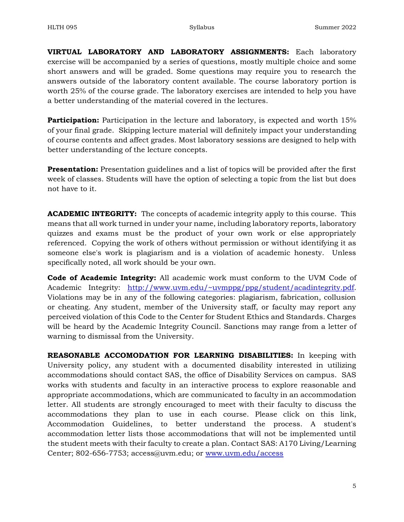**VIRTUAL LABORATORY AND LABORATORY ASSIGNMENTS:** Each laboratory exercise will be accompanied by a series of questions, mostly multiple choice and some short answers and will be graded. Some questions may require you to research the answers outside of the laboratory content available. The course laboratory portion is worth 25% of the course grade. The laboratory exercises are intended to help you have a better understanding of the material covered in the lectures.

**Participation:** Participation in the lecture and laboratory, is expected and worth 15% of your final grade. Skipping lecture material will definitely impact your understanding of course contents and affect grades. Most laboratory sessions are designed to help with better understanding of the lecture concepts.

**Presentation:** Presentation guidelines and a list of topics will be provided after the first week of classes. Students will have the option of selecting a topic from the list but does not have to it.

**ACADEMIC INTEGRITY:** The concepts of academic integrity apply to this course. This means that all work turned in under your name, including laboratory reports, laboratory quizzes and exams must be the product of your own work or else appropriately referenced. Copying the work of others without permission or without identifying it as someone else's work is plagiarism and is a violation of academic honesty. Unless specifically noted, all work should be your own.

**Code of Academic Integrity:** All academic work must conform to the UVM Code of Academic Integrity: [http://www.uvm.edu/~uvmppg/ppg/student/acadintegrity.pdf.](http://www.uvm.edu/~uvmppg/ppg/student/acadintegrity.pdf) Violations may be in any of the following categories: plagiarism, fabrication, collusion or cheating. Any student, member of the University staff, or faculty may report any perceived violation of this Code to the Center for Student Ethics and Standards. Charges will be heard by the Academic Integrity Council. Sanctions may range from a letter of warning to dismissal from the University.

**REASONABLE ACCOMODATION FOR LEARNING DISABILITIES:** In keeping with University policy, any student with a documented disability interested in utilizing accommodations should contact SAS, the office of Disability Services on campus. SAS works with students and faculty in an interactive process to explore reasonable and appropriate accommodations, which are communicated to faculty in an accommodation letter. All students are strongly encouraged to meet with their faculty to discuss the accommodations they plan to use in each course. Please click on this link, Accommodation Guidelines, to better understand the process. A student's accommodation letter lists those accommodations that will not be implemented until the student meets with their faculty to create a plan. Contact SAS: A170 Living/Learning Center; 802-656-7753; access@uvm.edu; or [www.uvm.edu/access](http://www.uvm.edu/access)